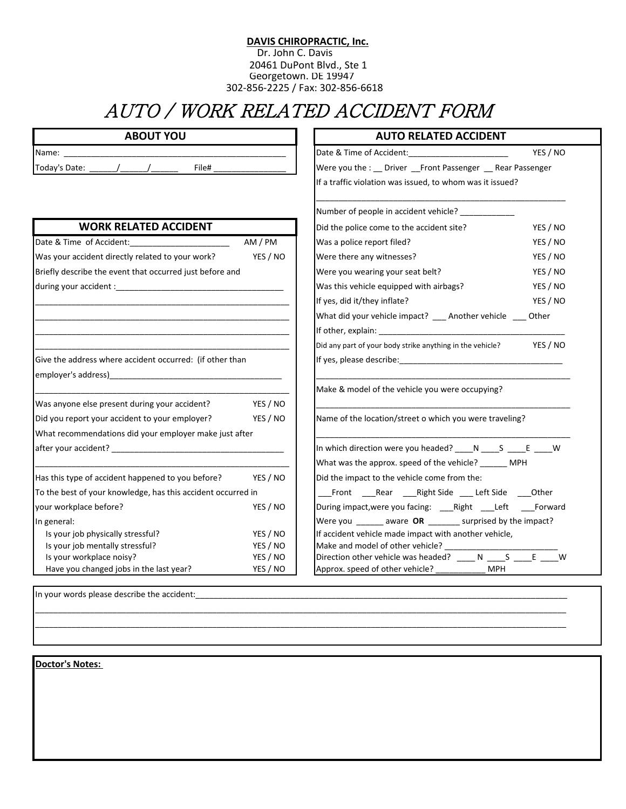## **DAVIS CHIROPRACTIC, Inc.**

 Dr. John C. Davis 20461 DuPont Blvd., Ste 1 Georgetown. DE 19947 302-856-2225 / Fax: 302-856-6618

## AUTO / WORK RELATED ACCIDENT FORM

| <b>ABOUT YOU</b>                                                    |                      | <b>AUTO RELATED ACCIDENT</b>                                       |          |
|---------------------------------------------------------------------|----------------------|--------------------------------------------------------------------|----------|
| Name:                                                               |                      | Date & Time of Accident: Date & Time of Accident:                  | YES / NO |
| Today's Date: _______/_______/_______<br>File#                      |                      | Were you the : _ Driver _ Front Passenger _ Rear Passenger         |          |
|                                                                     |                      | If a traffic violation was issued, to whom was it issued?          |          |
|                                                                     |                      | Number of people in accident vehicle? ___________                  |          |
| <b>WORK RELATED ACCIDENT</b>                                        |                      | Did the police come to the accident site?                          | YES / NO |
| Date & Time of Accident:_________________________                   | AM / PM              | Was a police report filed?                                         | YES / NO |
| Was your accident directly related to your work?                    | YES / NO             | Were there any witnesses?                                          | YES / NO |
| Briefly describe the event that occurred just before and            |                      | Were you wearing your seat belt?                                   | YES / NO |
|                                                                     |                      | Was this vehicle equipped with airbags?                            | YES / NO |
|                                                                     |                      | If yes, did it/they inflate?                                       | YES / NO |
|                                                                     |                      | What did your vehicle impact? __ Another vehicle __ Other          |          |
|                                                                     |                      |                                                                    |          |
|                                                                     |                      | Did any part of your body strike anything in the vehicle? YES / NO |          |
| Give the address where accident occurred: (if other than            |                      |                                                                    |          |
|                                                                     |                      |                                                                    |          |
|                                                                     |                      | Make & model of the vehicle you were occupying?                    |          |
| Was anyone else present during your accident?                       | YES / NO             |                                                                    |          |
| Did you report your accident to your employer?                      | YES / NO             | Name of the location/street o which you were traveling?            |          |
| What recommendations did your employer make just after              |                      |                                                                    |          |
|                                                                     |                      | In which direction were you headed? ____ N ____ S ____ E ____ W    |          |
|                                                                     |                      |                                                                    |          |
|                                                                     |                      | What was the approx. speed of the vehicle? _______ MPH             |          |
| Has this type of accident happened to you before?                   | YES / NO             | Did the impact to the vehicle come from the:                       |          |
| To the best of your knowledge, has this accident occurred in        |                      | Front ____Rear _____Right Side ____ Left Side _____Other           |          |
| your workplace before?                                              | YES / NO             | During impact, were you facing: ____ Right ____ Left _____ Forward |          |
| In general:                                                         |                      | Were you _______ aware OR _______ surprised by the impact?         |          |
| Is your job physically stressful?                                   | YES / NO             | If accident vehicle made impact with another vehicle,              |          |
| Is your job mentally stressful?                                     | YES / NO             |                                                                    |          |
| Is your workplace noisy?<br>Have you changed jobs in the last year? | YES / NO<br>YES / NO | Approx. speed of other vehicle? __________<br><b>MPH</b>           |          |

\_\_\_\_\_\_\_\_\_\_\_\_\_\_\_\_\_\_\_\_\_\_\_\_\_\_\_\_\_\_\_\_\_\_\_\_\_\_\_\_\_\_\_\_\_\_\_\_\_\_\_\_\_\_\_\_\_\_\_\_\_\_\_\_\_\_\_\_\_\_\_\_\_\_\_\_\_\_\_\_\_\_\_\_\_\_\_\_\_\_\_\_\_\_\_\_\_\_\_\_\_\_\_\_\_\_\_\_\_\_\_\_\_\_\_\_\_ \_\_\_\_\_\_\_\_\_\_\_\_\_\_\_\_\_\_\_\_\_\_\_\_\_\_\_\_\_\_\_\_\_\_\_\_\_\_\_\_\_\_\_\_\_\_\_\_\_\_\_\_\_\_\_\_\_\_\_\_\_\_\_\_\_\_\_\_\_\_\_\_\_\_\_\_\_\_\_\_\_\_\_\_\_\_\_\_\_\_\_\_\_\_\_\_\_\_\_\_\_\_\_\_\_\_\_\_\_\_\_\_\_\_\_\_\_

In your words please describe the accident:

**Doctor's Notes:**